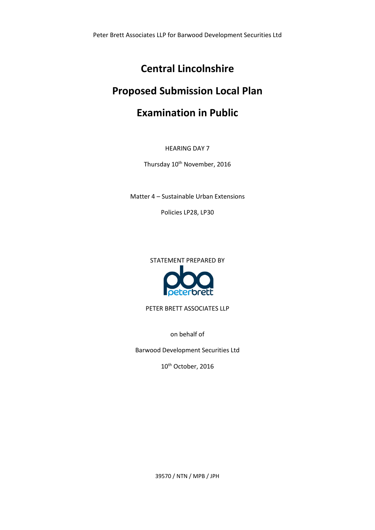# **Central Lincolnshire**

# **Proposed Submission Local Plan**

# **Examination in Public**

HEARING DAY 7

Thursday 10<sup>th</sup> November, 2016

Matter 4 – Sustainable Urban Extensions

Policies LP28, LP30

STATEMENT PREPARED BY



PETER BRETT ASSOCIATES LLP

on behalf of

Barwood Development Securities Ltd

10<sup>th</sup> October, 2016

39570 / NTN / MPB / JPH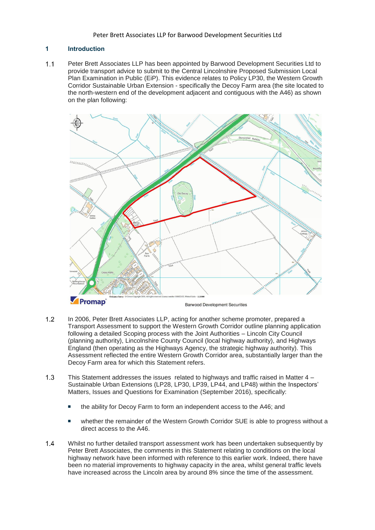### **1 Introduction**

 $1.1$ Peter Brett Associates LLP has been appointed by Barwood Development Securities Ltd to provide transport advice to submit to the Central Lincolnshire Proposed Submission Local Plan Examination in Public (EiP). This evidence relates to Policy LP30, the Western Growth Corridor Sustainable Urban Extension - specifically the Decoy Farm area (the site located to the north-western end of the development adjacent and contiguous with the A46) as shown on the plan following:



- $1.2$ In 2006, Peter Brett Associates LLP, acting for another scheme promoter, prepared a Transport Assessment to support the Western Growth Corridor outline planning application following a detailed Scoping process with the Joint Authorities – Lincoln City Council (planning authority), Lincolnshire County Council (local highway authority), and Highways England (then operating as the Highways Agency, the strategic highway authority). This Assessment reflected the entire Western Growth Corridor area, substantially larger than the Decoy Farm area for which this Statement refers.
- $1.3$ This Statement addresses the issues related to highways and traffic raised in Matter  $4 -$ Sustainable Urban Extensions (LP28, LP30, LP39, LP44, and LP48) within the Inspectors' Matters, Issues and Questions for Examination (September 2016), specifically:
	- the ability for Decoy Farm to form an independent access to the A46; and
	- whether the remainder of the Western Growth Corridor SUE is able to progress without a direct access to the A46.
- $1.4$ Whilst no further detailed transport assessment work has been undertaken subsequently by Peter Brett Associates, the comments in this Statement relating to conditions on the local highway network have been informed with reference to this earlier work. Indeed, there have been no material improvements to highway capacity in the area, whilst general traffic levels have increased across the Lincoln area by around 8% since the time of the assessment.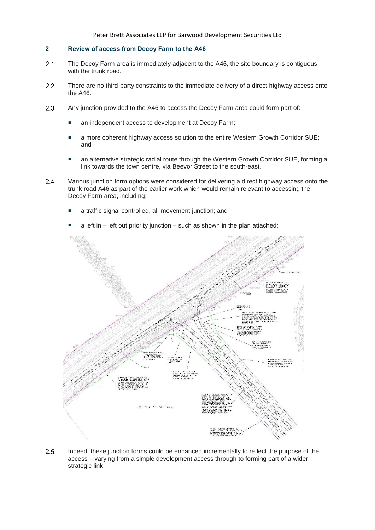### **2 Review of access from Decoy Farm to the A46**

- $2.1$ The Decoy Farm area is immediately adjacent to the A46, the site boundary is contiguous with the trunk road.
- $2.2$ There are no third-party constraints to the immediate delivery of a direct highway access onto the A46.
- 2.3 Any junction provided to the A46 to access the Decoy Farm area could form part of:
	- an independent access to development at Decoy Farm;
	- a more coherent highway access solution to the entire Western Growth Corridor SUE; and
	- an alternative strategic radial route through the Western Growth Corridor SUE, forming a link towards the town centre, via Beevor Street to the south-east.
- $2.4$ Various junction form options were considered for delivering a direct highway access onto the trunk road A46 as part of the earlier work which would remain relevant to accessing the Decoy Farm area, including:
	- a traffic signal controlled, all-movement junction; and
	- a left in left out priority junction such as shown in the plan attached:



 $2.5$ Indeed, these junction forms could be enhanced incrementally to reflect the purpose of the access – varying from a simple development access through to forming part of a wider strategic link.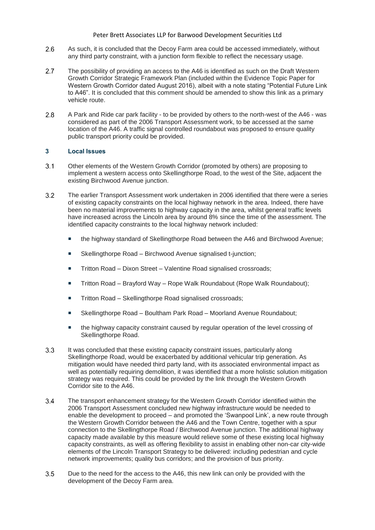- $2.6$ As such, it is concluded that the Decoy Farm area could be accessed immediately, without any third party constraint, with a junction form flexible to reflect the necessary usage.
- $2.7$ The possibility of providing an access to the A46 is identified as such on the Draft Western Growth Corridor Strategic Framework Plan (included within the Evidence Topic Paper for Western Growth Corridor dated August 2016), albeit with a note stating "Potential Future Link to A46". It is concluded that this comment should be amended to show this link as a primary vehicle route.
- $2.8$ A Park and Ride car park facility - to be provided by others to the north-west of the A46 - was considered as part of the 2006 Transport Assessment work, to be accessed at the same location of the A46. A traffic signal controlled roundabout was proposed to ensure quality public transport priority could be provided.

## **3 Local Issues**

- $3.1$ Other elements of the Western Growth Corridor (promoted by others) are proposing to implement a western access onto Skellingthorpe Road, to the west of the Site, adjacent the existing Birchwood Avenue junction.
- $3.2$ The earlier Transport Assessment work undertaken in 2006 identified that there were a series of existing capacity constraints on the local highway network in the area. Indeed, there have been no material improvements to highway capacity in the area, whilst general traffic levels have increased across the Lincoln area by around 8% since the time of the assessment. The identified capacity constraints to the local highway network included:
	- the highway standard of Skellingthorpe Road between the A46 and Birchwood Avenue;
	- Skellingthorpe Road Birchwood Avenue signalised t-junction;
	- Tritton Road Dixon Street Valentine Road signalised crossroads;
	- Tritton Road Brayford Way Rope Walk Roundabout (Rope Walk Roundabout);
	- Tritton Road Skellingthorpe Road signalised crossroads;
	- Skellingthorpe Road Boultham Park Road Moorland Avenue Roundabout;
	- the highway capacity constraint caused by regular operation of the level crossing of Skellingthorpe Road.
- $3.3$ It was concluded that these existing capacity constraint issues, particularly along Skellingthorpe Road, would be exacerbated by additional vehicular trip generation. As mitigation would have needed third party land, with its associated environmental impact as well as potentially requiring demolition, it was identified that a more holistic solution mitigation strategy was required. This could be provided by the link through the Western Growth Corridor site to the A46.
- The transport enhancement strategy for the Western Growth Corridor identified within the  $3.4$ 2006 Transport Assessment concluded new highway infrastructure would be needed to enable the development to proceed – and promoted the 'Swanpool Link', a new route through the Western Growth Corridor between the A46 and the Town Centre, together with a spur connection to the Skellingthorpe Road / Birchwood Avenue junction. The additional highway capacity made available by this measure would relieve some of these existing local highway capacity constraints, as well as offering flexibility to assist in enabling other non-car city-wide elements of the Lincoln Transport Strategy to be delivered: including pedestrian and cycle network improvements; quality bus corridors; and the provision of bus priority.
- $3.5$ Due to the need for the access to the A46, this new link can only be provided with the development of the Decoy Farm area.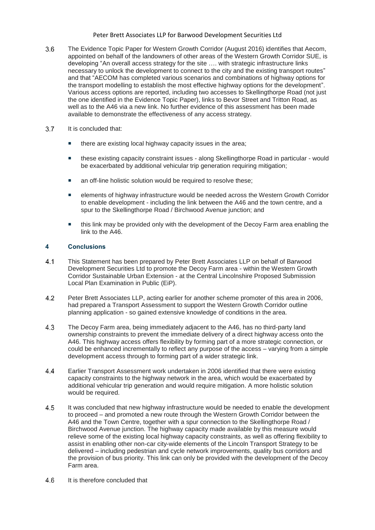- $3.6$ The Evidence Topic Paper for Western Growth Corridor (August 2016) identifies that Aecom, appointed on behalf of the landowners of other areas of the Western Growth Corridor SUE, is developing "An overall access strategy for the site …. with strategic infrastructure links necessary to unlock the development to connect to the city and the existing transport routes" and that "AECOM has completed various scenarios and combinations of highway options for the transport modelling to establish the most effective highway options for the development". Various access options are reported, including two accesses to Skellingthorpe Road (not just the one identified in the Evidence Topic Paper), links to Bevor Street and Tritton Road, as well as to the A46 via a new link. No further evidence of this assessment has been made available to demonstrate the effectiveness of any access strategy.
- $37$ It is concluded that:
	- there are existing local highway capacity issues in the area;
	- these existing capacity constraint issues along Skellingthorpe Road in particular would be exacerbated by additional vehicular trip generation requiring mitigation;
	- an off-line holistic solution would be required to resolve these;
	- elements of highway infrastructure would be needed across the Western Growth Corridor to enable development - including the link between the A46 and the town centre, and a spur to the Skellingthorpe Road / Birchwood Avenue junction; and
	- this link may be provided only with the development of the Decoy Farm area enabling the link to the A46.

#### **4 Conclusions**

- $4.1$ This Statement has been prepared by Peter Brett Associates LLP on behalf of Barwood Development Securities Ltd to promote the Decoy Farm area - within the Western Growth Corridor Sustainable Urban Extension - at the Central Lincolnshire Proposed Submission Local Plan Examination in Public (EiP).
- $4.2$ Peter Brett Associates LLP, acting earlier for another scheme promoter of this area in 2006, had prepared a Transport Assessment to support the Western Growth Corridor outline planning application - so gained extensive knowledge of conditions in the area.
- $4.3$ The Decoy Farm area, being immediately adjacent to the A46, has no third-party land ownership constraints to prevent the immediate delivery of a direct highway access onto the A46. This highway access offers flexibility by forming part of a more strategic connection, or could be enhanced incrementally to reflect any purpose of the access – varying from a simple development access through to forming part of a wider strategic link.
- 44 Earlier Transport Assessment work undertaken in 2006 identified that there were existing capacity constraints to the highway network in the area, which would be exacerbated by additional vehicular trip generation and would require mitigation. A more holistic solution would be required.
- 4.5 It was concluded that new highway infrastructure would be needed to enable the development to proceed – and promoted a new route through the Western Growth Corridor between the A46 and the Town Centre, together with a spur connection to the Skellingthorpe Road / Birchwood Avenue junction. The highway capacity made available by this measure would relieve some of the existing local highway capacity constraints, as well as offering flexibility to assist in enabling other non-car city-wide elements of the Lincoln Transport Strategy to be delivered – including pedestrian and cycle network improvements, quality bus corridors and the provision of bus priority. This link can only be provided with the development of the Decoy Farm area.
- It is therefore concluded that4.6